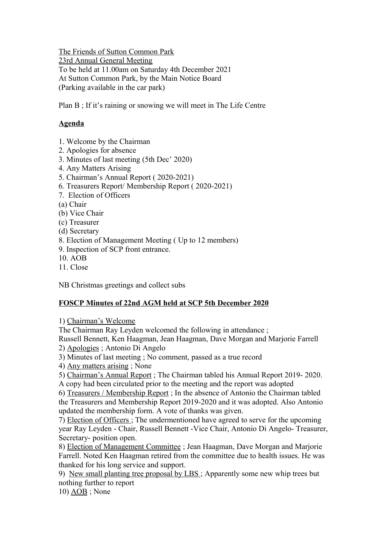The Friends of Sutton Common Park 23rd Annual General Meeting To be held at 11.00am on Saturday 4th December 2021 At Sutton Common Park, by the Main Notice Board (Parking available in the car park)

Plan B ; If it's raining or snowing we will meet in The Life Centre

## **Agenda**

- 1. Welcome by the Chairman
- 2. Apologies for absence
- 3. Minutes of last meeting (5th Dec' 2020)
- 4. Any Matters Arising
- 5. Chairman's Annual Report ( 2020-2021)
- 6. Treasurers Report/ Membership Report ( 2020-2021)
- 7. Election of Officers
- (a) Chair
- (b) Vice Chair
- (c) Treasurer
- (d) Secretary
- 8. Election of Management Meeting ( Up to 12 members)
- 9. Inspection of SCP front entrance.
- 10. AOB
- 11. Close

NB Christmas greetings and collect subs

## **FOSCP Minutes of 22nd AGM held at SCP 5th December 2020**

1) Chairman's Welcome

The Chairman Ray Leyden welcomed the following in attendance ;

Russell Bennett, Ken Haagman, Jean Haagman, Dave Morgan and Marjorie Farrell

2) Apologies ; Antonio Di Angelo

3) Minutes of last meeting ; No comment, passed as a true record

4) Any matters arising ; None

5) Chairman's Annual Report ; The Chairman tabled his Annual Report 2019- 2020. A copy had been circulated prior to the meeting and the report was adopted

6) Treasurers / Membership Report ; In the absence of Antonio the Chairman tabled the Treasurers and Membership Report 2019-2020 and it was adopted. Also Antonio updated the membership form. A vote of thanks was given.

7) Election of Officers ; The undermentioned have agreed to serve for the upcoming year Ray Leyden - Chair, Russell Bennett -Vice Chair, Antonio Di Angelo- Treasurer, Secretary- position open.

8) Election of Management Committee ; Jean Haagman, Dave Morgan and Marjorie Farrell. Noted Ken Haagman retired from the committee due to health issues. He was thanked for his long service and support.

9) New small planting tree proposal by LBS ; Apparently some new whip trees but nothing further to report

10) AOB ; None